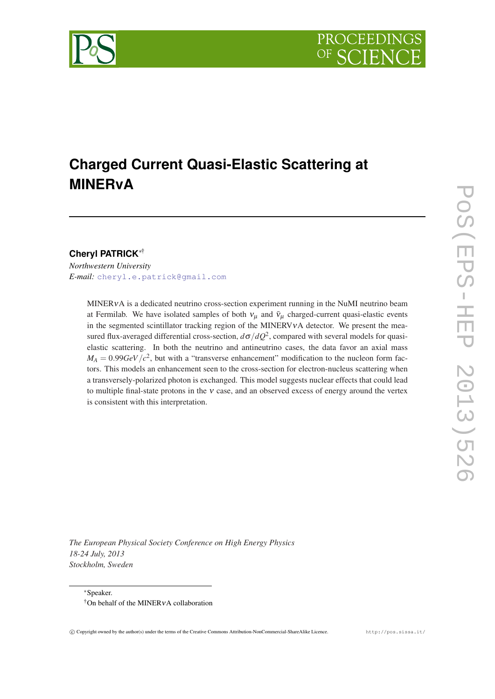

# **Charged Current Quasi-Elastic Scattering at MINERvA**

# **Cheryl PATRICK**∗†

*Northwestern University E-mail:* [cheryl.e.patrick@gmail.com](mailto:cheryl.e.patrick@gmail.com)

> MINERνA is a dedicated neutrino cross-section experiment running in the NuMI neutrino beam at Fermilab. We have isolated samples of both  $v_\mu$  and  $\bar{v}_\mu$  charged-current quasi-elastic events in the segmented scintillator tracking region of the MINERVVA detector. We present the measured flux-averaged differential cross-section,  $d\sigma/dQ^2$ , compared with several models for quasielastic scattering. In both the neutrino and antineutrino cases, the data favor an axial mass  $M_A = 0.99 GeV/c^2$ , but with a "transverse enhancement" modification to the nucleon form factors. This models an enhancement seen to the cross-section for electron-nucleus scattering when a transversely-polarized photon is exchanged. This model suggests nuclear effects that could lead to multiple final-state protons in the ν case, and an observed excess of energy around the vertex is consistent with this interpretation.

*The European Physical Society Conference on High Energy Physics 18-24 July, 2013 Stockholm, Sweden*

<sup>∗</sup>Speaker. †On behalf of the MINERνA collaboration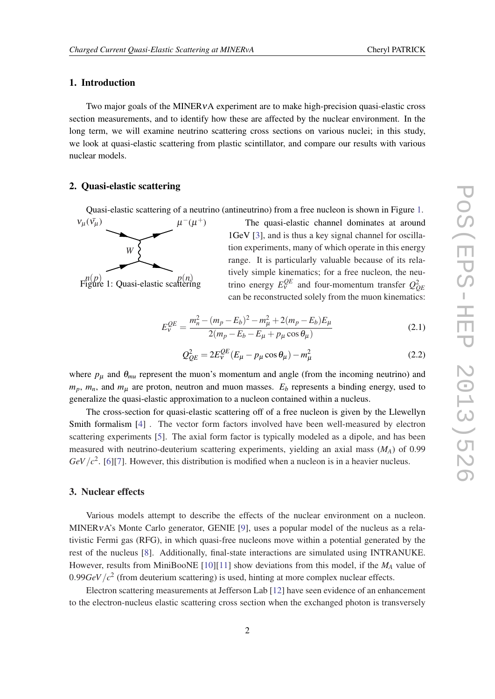# 1. Introduction

Two major goals of the MINERνA experiment are to make high-precision quasi-elastic cross section measurements, and to identify how these are affected by the nuclear environment. In the long term, we will examine neutrino scattering cross sections on various nuclei; in this study, we look at quasi-elastic scattering from plastic scintillator, and compare our results with various nuclear models.

### 2. Quasi-elastic scattering

Quasi-elastic scattering of a neutrino (antineutrino) from a free nucleon is shown in Figure 1.



The quasi-elastic channel dominates at around 1GeV [\[3\]](#page-5-0), and is thus a key signal channel for oscillation experiments, many of which operate in this energy range. It is particularly valuable because of its relatively simple kinematics; for a free nucleon, the neutrino energy  $E_V^{QE}$  and four-momentum transfer  $Q_{QE}^2$ can be reconstructed solely from the muon kinematics:

$$
E_{\nu}^{QE} = \frac{m_n^2 - (m_p - E_b)^2 - m_\mu^2 + 2(m_p - E_b)E_\mu}{2(m_p - E_b - E_\mu + p_\mu \cos \theta_\mu)}
$$
(2.1)

$$
Q_{QE}^2 = 2E_v^{QE}(E_\mu - p_\mu \cos \theta_\mu) - m_\mu^2
$$
 (2.2)

where  $p_{\mu}$  and  $\theta_{mu}$  represent the muon's momentum and angle (from the incoming neutrino) and  $m_p$ ,  $m_n$ , and  $m_\mu$  are proton, neutron and muon masses.  $E_b$  represents a binding energy, used to generalize the quasi-elastic approximation to a nucleon contained within a nucleus.

The cross-section for quasi-elastic scattering off of a free nucleon is given by the Llewellyn Smith formalism [\[4\]](#page-5-0) . The vector form factors involved have been well-measured by electron scattering experiments [[5](#page-5-0)]. The axial form factor is typically modeled as a dipole, and has been measured with neutrino-deuterium scattering experiments, yielding an axial mass (*MA*) of 0.99  $GeV/c^2$ . [\[6\]](#page-5-0)[[7](#page-5-0)]. However, this distribution is modified when a nucleon is in a heavier nucleus.

#### 3. Nuclear effects

Various models attempt to describe the effects of the nuclear environment on a nucleon. MINERVA's Monte Carlo generator, GENIE [[9](#page-5-0)], uses a popular model of the nucleus as a relativistic Fermi gas (RFG), in which quasi-free nucleons move within a potential generated by the rest of the nucleus [[8](#page-5-0)]. Additionally, final-state interactions are simulated using INTRANUKE. However, results from MiniBooNE [\[10](#page-5-0)][[11](#page-5-0)] show deviations from this model, if the *M<sup>A</sup>* value of  $0.99GeV/c<sup>2</sup>$  (from deuterium scattering) is used, hinting at more complex nuclear effects.

Electron scattering measurements at Jefferson Lab [[12\]](#page-5-0) have seen evidence of an enhancement to the electron-nucleus elastic scattering cross section when the exchanged photon is transversely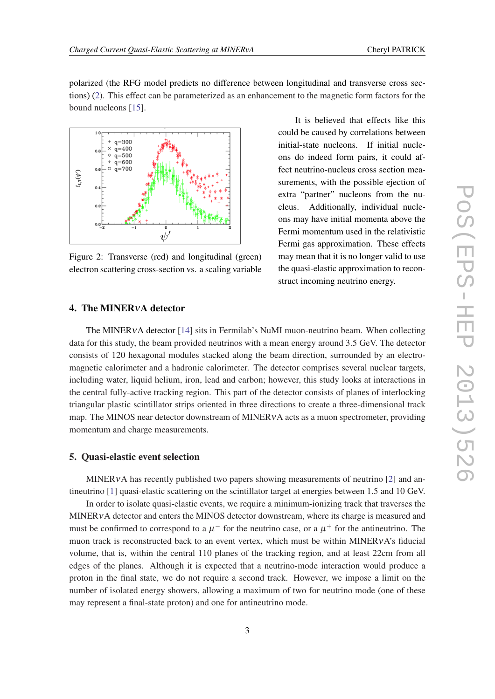polarized (the RFG model predicts no difference between longitudinal and transverse cross sections) (2). This effect can be parameterized as an enhancement to the magnetic form factors for the bound nucleons [\[15](#page-5-0)].



Figure 2: Transverse (red) and longitudinal (green) electron scattering cross-section vs. a scaling variable

It is believed that effects like this could be caused by correlations between initial-state nucleons. If initial nucleons do indeed form pairs, it could affect neutrino-nucleus cross section measurements, with the possible ejection of extra "partner" nucleons from the nucleus. Additionally, individual nucleons may have initial momenta above the Fermi momentum used in the relativistic Fermi gas approximation. These effects may mean that it is no longer valid to use the quasi-elastic approximation to reconstruct incoming neutrino energy.

# 4. The MINERνA detector

The MINERVA detector [\[14](#page-5-0)] sits in Fermilab's NuMI muon-neutrino beam. When collecting data for this study, the beam provided neutrinos with a mean energy around 3.5 GeV. The detector consists of 120 hexagonal modules stacked along the beam direction, surrounded by an electromagnetic calorimeter and a hadronic calorimeter. The detector comprises several nuclear targets, including water, liquid helium, iron, lead and carbon; however, this study looks at interactions in the central fully-active tracking region. This part of the detector consists of planes of interlocking triangular plastic scintillator strips oriented in three directions to create a three-dimensional track map. The MINOS near detector downstream of MINER<sub>v</sub>A acts as a muon spectrometer, providing momentum and charge measurements.

#### 5. Quasi-elastic event selection

MINERVA has recently published two papers showing measurements of neutrino [\[2\]](#page-5-0) and antineutrino [\[1\]](#page-5-0) quasi-elastic scattering on the scintillator target at energies between 1.5 and 10 GeV.

In order to isolate quasi-elastic events, we require a minimum-ionizing track that traverses the MINERνA detector and enters the MINOS detector downstream, where its charge is measured and must be confirmed to correspond to a  $\mu^-$  for the neutrino case, or a  $\mu^+$  for the antineutrino. The muon track is reconstructed back to an event vertex, which must be within MINERνA's fiducial volume, that is, within the central 110 planes of the tracking region, and at least 22cm from all edges of the planes. Although it is expected that a neutrino-mode interaction would produce a proton in the final state, we do not require a second track. However, we impose a limit on the number of isolated energy showers, allowing a maximum of two for neutrino mode (one of these may represent a final-state proton) and one for antineutrino mode.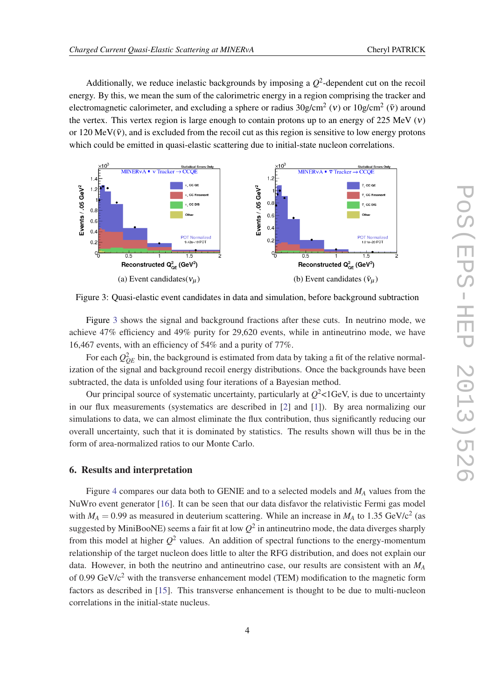Additionally, we reduce inelastic backgrounds by imposing a  $Q^2$ -dependent cut on the recoil energy. By this, we mean the sum of the calorimetric energy in a region comprising the tracker and electromagnetic calorimeter, and excluding a sphere or radius  $30$ g/cm<sup>2</sup> (v) or  $10$ g/cm<sup>2</sup> ( $\bar{v}$ ) around the vertex. This vertex region is large enough to contain protons up to an energy of 225 MeV  $(v)$ or 120 MeV( $\bar{v}$ ), and is excluded from the recoil cut as this region is sensitive to low energy protons which could be emitted in quasi-elastic scattering due to initial-state nucleon correlations.



Figure 3: Quasi-elastic event candidates in data and simulation, before background subtraction

Figure 3 shows the signal and background fractions after these cuts. In neutrino mode, we achieve 47% efficiency and 49% purity for 29,620 events, while in antineutrino mode, we have 16,467 events, with an efficiency of 54% and a purity of 77%.

For each  $Q_{QE}^2$  bin, the background is estimated from data by taking a fit of the relative normalization of the signal and background recoil energy distributions. Once the backgrounds have been subtracted, the data is unfolded using four iterations of a Bayesian method.

Our principal source of systematic uncertainty, particularly at  $Q^2$ <1GeV, is due to uncertainty in our flux measurements (systematics are described in [[2](#page-5-0)] and [[1](#page-5-0)]). By area normalizing our simulations to data, we can almost eliminate the flux contribution, thus significantly reducing our overall uncertainty, such that it is dominated by statistics. The results shown will thus be in the form of area-normalized ratios to our Monte Carlo.

#### 6. Results and interpretation

Figure [4](#page-4-0) compares our data both to GENIE and to a selected models and *M<sup>A</sup>* values from the NuWro event generator [[16\]](#page-5-0). It can be seen that our data disfavor the relativistic Fermi gas model with  $M_A = 0.99$  as measured in deuterium scattering. While an increase in  $M_A$  to 1.35 GeV/c<sup>2</sup> (as suggested by MiniBooNE) seems a fair fit at low  $Q^2$  in antineutrino mode, the data diverges sharply from this model at higher *Q* <sup>2</sup> values. An addition of spectral functions to the energy-momentum relationship of the target nucleon does little to alter the RFG distribution, and does not explain our data. However, in both the neutrino and antineutrino case, our results are consistent with an *M<sup>A</sup>* of 0.99 GeV/c<sup>2</sup> with the transverse enhancement model (TEM) modification to the magnetic form factors as described in [\[15](#page-5-0)]. This transverse enhancement is thought to be due to multi-nucleon correlations in the initial-state nucleus.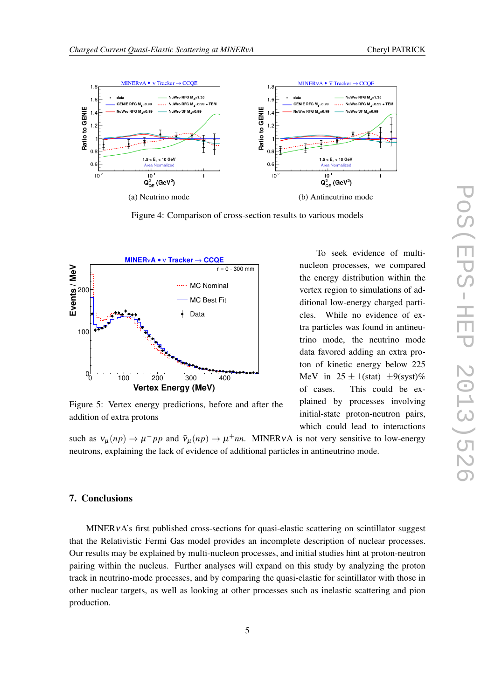<span id="page-4-0"></span>

Figure 4: Comparison of cross-section results to various models



Figure 5: Vertex energy predictions, before and after the addition of extra protons

To seek evidence of multinucleon processes, we compared the energy distribution within the vertex region to simulations of additional low-energy charged particles. While no evidence of extra particles was found in antineutrino mode, the neutrino mode data favored adding an extra proton of kinetic energy below 225 MeV in  $25 \pm 1$ (stat)  $\pm 9$ (syst)% of cases. This could be explained by processes involving initial-state proton-neutron pairs, which could lead to interactions

such as  $v_{\mu}(np) \to \mu^- pp$  and  $\bar{v}_{\mu}(np) \to \mu^+ nn$ . MINERvA is not very sensitive to low-energy neutrons, explaining the lack of evidence of additional particles in antineutrino mode.

# 7. Conclusions

MINERVA's first published cross-sections for quasi-elastic scattering on scintillator suggest that the Relativistic Fermi Gas model provides an incomplete description of nuclear processes. Our results may be explained by multi-nucleon processes, and initial studies hint at proton-neutron pairing within the nucleus. Further analyses will expand on this study by analyzing the proton track in neutrino-mode processes, and by comparing the quasi-elastic for scintillator with those in other nuclear targets, as well as looking at other processes such as inelastic scattering and pion production.